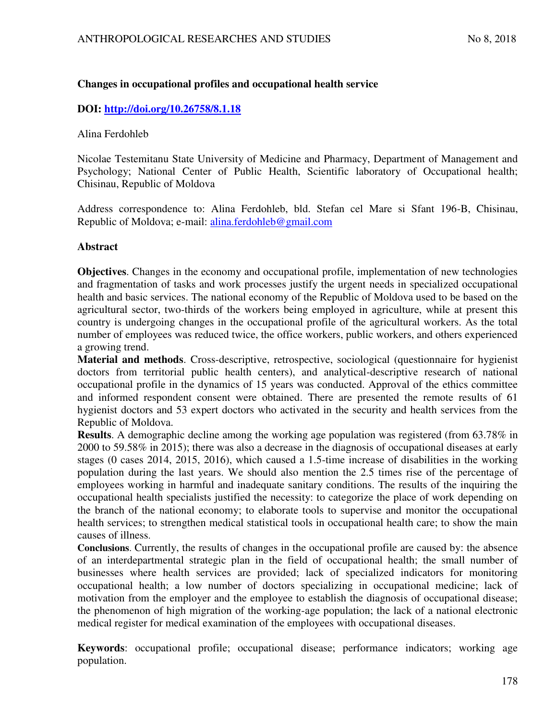# **Changes in occupational profiles and occupational health service**

# **DOI:<http://doi.org/10.26758/8.1.18>**

## Alina Ferdohleb

Nicolae Testemitanu State University of Medicine and Pharmacy, Department of Management and Psychology; National Center of Public Health, Scientific laboratory of Occupational health; Chisinau, Republic of Moldova

Address correspondence to: Alina Ferdohleb, bld. Stefan cel Mare si Sfant 196-B, Chisinau, Republic of Moldova; e-mail: [alina.ferdohleb@gmail.com](mailto:alina.ferdohleb@gmail.com)

# **Abstract**

**Objectives**. Changes in the economy and occupational profile, implementation of new technologies and fragmentation of tasks and work processes justify the urgent needs in specialized occupational health and basic services. The national economy of the Republic of Moldova used to be based on the agricultural sector, two-thirds of the workers being employed in agriculture, while at present this country is undergoing changes in the occupational profile of the agricultural workers. As the total number of employees was reduced twice, the office workers, public workers, and others experienced a growing trend.

**Material and methods**. Cross-descriptive, retrospective, sociological (questionnaire for hygienist doctors from territorial public health centers), and analytical-descriptive research of national occupational profile in the dynamics of 15 years was conducted. Approval of the ethics committee and informed respondent consent were obtained. There are presented the remote results of 61 hygienist doctors and 53 expert doctors who activated in the security and health services from the Republic of Moldova.

**Results**. A demographic decline among the working age population was registered (from 63.78% in 2000 to 59.58% in 2015); there was also a decrease in the diagnosis of occupational diseases at early stages (0 cases 2014, 2015, 2016), which caused a 1.5-time increase of disabilities in the working population during the last years. We should also mention the 2.5 times rise of the percentage of employees working in harmful and inadequate sanitary conditions. The results of the inquiring the occupational health specialists justified the necessity: to categorize the place of work depending on the branch of the national economy; to elaborate tools to supervise and monitor the occupational health services; to strengthen medical statistical tools in occupational health care; to show the main causes of illness.

**Conclusions**. Currently, the results of changes in the occupational profile are caused by: the absence of an interdepartmental strategic plan in the field of occupational health; the small number of businesses where health services are provided; lack of specialized indicators for monitoring occupational health; a low number of doctors specializing in occupational medicine; lack of motivation from the employer and the employee to establish the diagnosis of occupational disease; the phenomenon of high migration of the working-age population; the lack of a national electronic medical register for medical examination of the employees with occupational diseases.

**Keywords**: occupational profile; occupational disease; performance indicators; working age population.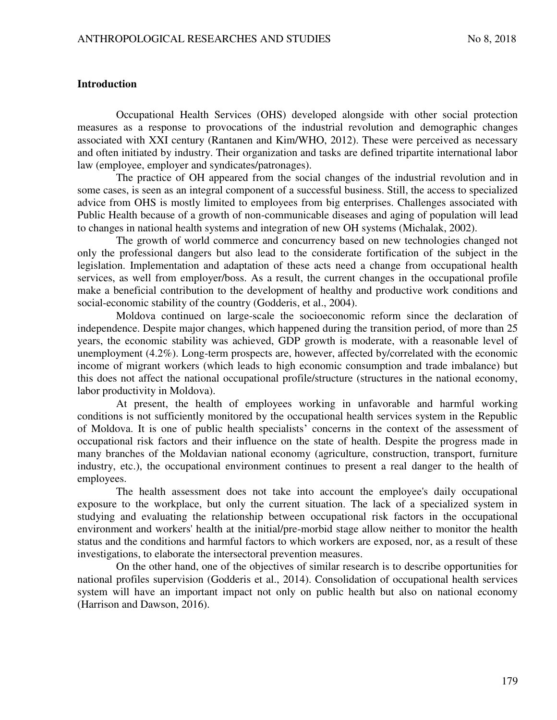#### **Introduction**

Occupational Health Services (OHS) developed alongside with other social protection measures as a response to provocations of the industrial revolution and demographic changes associated with XXI century (Rantanen and Kim/WHO, 2012). These were perceived as necessary and often initiated by industry. Their organization and tasks are defined tripartite international labor law (employee, employer and syndicates/patronages).

The practice of OH appeared from the social changes of the industrial revolution and in some cases, is seen as an integral component of a successful business. Still, the access to specialized advice from OHS is mostly limited to employees from big enterprises. Challenges associated with Public Health because of a growth of non-communicable diseases and aging of population will lead to changes in national health systems and integration of new OH systems (Michalak, 2002).

The growth of world commerce and concurrency based on new technologies changed not only the professional dangers but also lead to the considerate fortification of the subject in the legislation. Implementation and adaptation of these acts need a change from occupational health services, as well from employer/boss. As a result, the current changes in the occupational profile make a beneficial contribution to the development of healthy and productive work conditions and social-economic stability of the country (Godderis, et al., 2004).

Moldova continued on large-scale the socioeconomic reform since the declaration of independence. Despite major changes, which happened during the transition period, of more than 25 years, the economic stability was achieved, GDP growth is moderate, with a reasonable level of unemployment (4.2%). Long-term prospects are, however, affected by/correlated with the economic income of migrant workers (which leads to high economic consumption and trade imbalance) but this does not affect the national occupational profile/structure (structures in the national economy, labor productivity in Moldova).

At present, the health of employees working in unfavorable and harmful working conditions is not sufficiently monitored by the occupational health services system in the Republic of Moldova. It is one of public health specialists' concerns in the context of the assessment of occupational risk factors and their influence on the state of health. Despite the progress made in many branches of the Moldavian national economy (agriculture, construction, transport, furniture industry, etc.), the occupational environment continues to present a real danger to the health of employees.

The health assessment does not take into account the employee's daily occupational exposure to the workplace, but only the current situation. The lack of a specialized system in studying and evaluating the relationship between occupational risk factors in the occupational environment and workers' health at the initial/pre-morbid stage allow neither to monitor the health status and the conditions and harmful factors to which workers are exposed, nor, as a result of these investigations, to elaborate the intersectoral prevention measures.

On the other hand, one of the objectives of similar research is to describe opportunities for national profiles supervision (Godderis et al., 2014). Consolidation of occupational health services system will have an important impact not only on public health but also on national economy (Harrison and Dawson, 2016).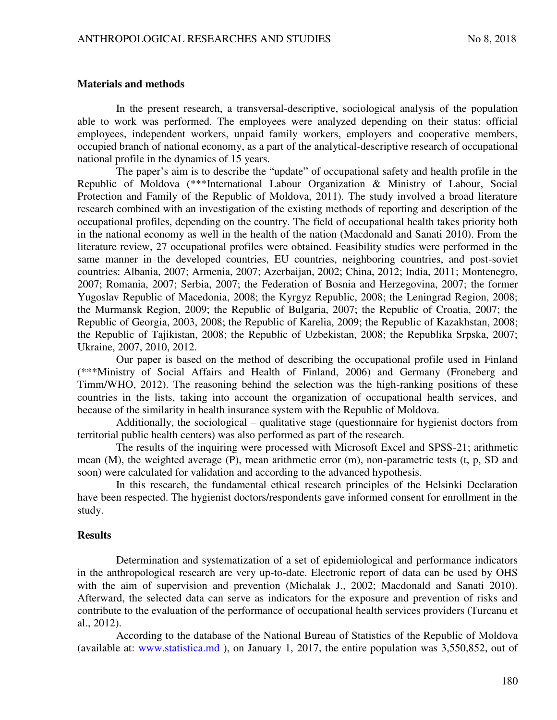#### **Materials and methods**

In the present research, a transversal-descriptive, sociological analysis of the population able to work was performed. The employees were analyzed depending on their status: official employees, independent workers, unpaid family workers, employers and cooperative members, occupied branch of national economy, as a part of the analytical-descriptive research of occupational national profile in the dynamics of 15 years.

The paper's aim is to describe the "update" of occupational safety and health profile in the Republic of Moldova (\*\*\*International Labour Organization & Ministry of Labour, Social Protection and Family of the Republic of Moldova, 2011). The study involved a broad literature research combined with an investigation of the existing methods of reporting and description of the occupational profiles, depending on the country. The field of occupational health takes priority both in the national economy as well in the health of the nation (Macdonald and Sanati 2010). From the literature review, 27 occupational profiles were obtained. Feasibility studies were performed in the same manner in the developed countries, EU countries, neighboring countries, and post-soviet countries: Albania, 2007; Armenia, 2007; Azerbaijan, 2002; China, 2012; India, 2011; Montenegro, 2007; Romania, 2007; Serbia, 2007; the Federation of Bosnia and Herzegovina, 2007; the former Yugoslav Republic of Macedonia, 2008; the Kyrgyz Republic, 2008; the Leningrad Region, 2008; the Murmansk Region, 2009; the Republic of Bulgaria, 2007; the Republic of Croatia, 2007; the Republic of Georgia, 2003, 2008; the Republic of Karelia, 2009; the Republic of Kazakhstan, 2008; the Republic of Tajikistan, 2008; the Republic of Uzbekistan, 2008; the Republika Srpska, 2007; Ukraine, 2007, 2010, 2012.

Our paper is based on the method of describing the occupational profile used in Finland (\*\*\*Ministry of Social Affairs and Health of Finland, 2006) and Germany (Froneberg and Timm/WHO, 2012). The reasoning behind the selection was the high-ranking positions of these countries in the lists, taking into account the organization of occupational health services, and because of the similarity in health insurance system with the Republic of Moldova.

Additionally, the sociological – qualitative stage (questionnaire for hygienist doctors from territorial public health centers) was also performed as part of the research.

The results of the inquiring were processed with Microsoft Excel and SPSS-21; arithmetic mean (M), the weighted average (P), mean arithmetic error (m), non-parametric tests (t, p, SD and soon) were calculated for validation and according to the advanced hypothesis.

In this research, the fundamental ethical research principles of the Helsinki Declaration have been respected. The hygienist doctors/respondents gave informed consent for enrollment in the study.

## **Results**

Determination and systematization of a set of epidemiological and performance indicators in the anthropological research are very up-to-date. Electronic report of data can be used by OHS with the aim of supervision and prevention (Michalak J., 2002; Macdonald and Sanati 2010). Afterward, the selected data can serve as indicators for the exposure and prevention of risks and contribute to the evaluation of the performance of occupational health services providers (Turcanu et al., 2012).

According to the database of the National Bureau of Statistics of the Republic of Moldova (available at: [www.statistica.md](http://www.statistica.md/) ), on January 1, 2017, the entire population was 3,550,852, out of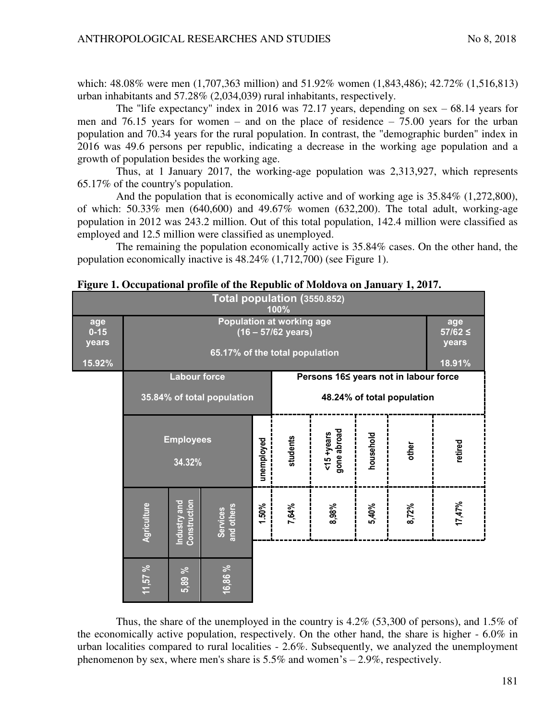which: 48.08% were men (1,707,363 million) and 51.92% women (1,843,486); 42.72% (1,516,813) urban inhabitants and 57.28% (2,034,039) rural inhabitants, respectively.

The "life expectancy" index in 2016 was 72.17 years, depending on sex – 68.14 years for men and 76.15 years for women – and on the place of residence – 75.00 years for the urban population and 70.34 years for the rural population. In contrast, the "demographic burden" index in 2016 was 49.6 persons per republic, indicating a decrease in the working age population and a growth of population besides the working age.

Thus, at 1 January 2017, the working-age population was 2,313,927, which represents 65.17% of the country's population.

And the population that is economically active and of working age is 35.84% (1,272,800), of which: 50.33% men (640,600) and 49.67% women (632,200). The total adult, working-age population in 2012 was 243.2 million. Out of this total population, 142.4 million were classified as employed and 12.5 million were classified as unemployed.

The remaining the population economically active is 35.84% cases. On the other hand, the population economically inactive is 48.24% (1,712,700) (see Figure 1).

| Total population (3550.852)<br>100% |                            |                              |                            |                                       |                            |                              |           |       |         |  |  |  |
|-------------------------------------|----------------------------|------------------------------|----------------------------|---------------------------------------|----------------------------|------------------------------|-----------|-------|---------|--|--|--|
| age<br>$0 - 15$<br>years            |                            | age<br>$57/62 \le$<br>years  |                            |                                       |                            |                              |           |       |         |  |  |  |
| 15.92%                              |                            |                              | 18.91%                     |                                       |                            |                              |           |       |         |  |  |  |
|                                     |                            | <b>Labour force</b>          |                            | Persons 16≤ years not in labour force |                            |                              |           |       |         |  |  |  |
|                                     |                            |                              | 35.84% of total population |                                       | 48.24% of total population |                              |           |       |         |  |  |  |
|                                     | <b>Employees</b><br>34.32% |                              |                            | unemployed                            | students                   | gone abroad<br>$<15 + years$ | household | other | retired |  |  |  |
|                                     | Agriculture                | Construction<br>Industry and | and others<br>Services     | 1.50%                                 | 7,64%                      | 8,98%                        | 5,40%     | 8,72% | 17,47%  |  |  |  |
|                                     | 11,57%                     | 5,89 %                       | 16,86 %                    |                                       |                            |                              |           |       |         |  |  |  |

|  |  |  | Figure 1. Occupational profile of the Republic of Moldova on January 1, 2017. |  |  |  |
|--|--|--|-------------------------------------------------------------------------------|--|--|--|
|--|--|--|-------------------------------------------------------------------------------|--|--|--|

Thus, the share of the unemployed in the country is 4.2% (53,300 of persons), and 1.5% of the economically active population, respectively. On the other hand, the share is higher - 6.0% in urban localities compared to rural localities - 2.6%. Subsequently, we analyzed the unemployment phenomenon by sex, where men's share is  $5.5\%$  and women's  $-2.9\%$ , respectively.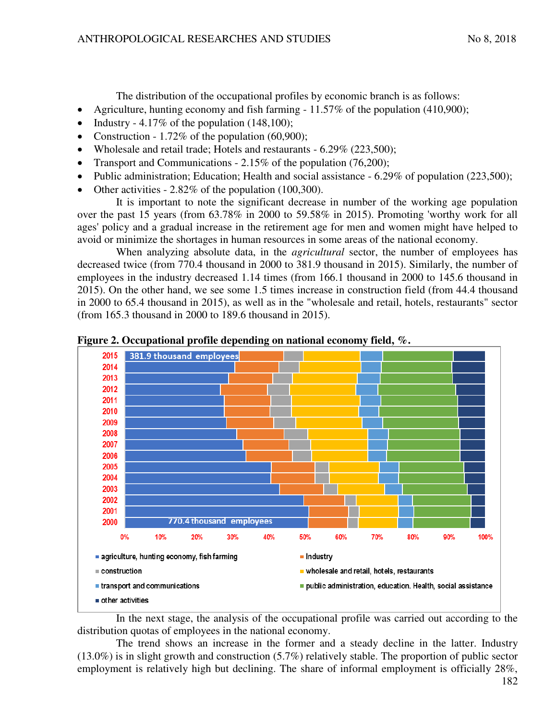The distribution of the occupational profiles by economic branch is as follows:

- Agriculture, hunting economy and fish farming 11.57% of the population (410,900);
- Industry 4.17% of the population  $(148,100)$ ;
- Construction 1.72% of the population  $(60,900)$ ;
- Wholesale and retail trade; Hotels and restaurants 6.29% (223,500);
- Transport and Communications 2.15% of the population (76,200);
- Public administration; Education; Health and social assistance 6.29% of population (223,500);
- Other activities 2.82% of the population (100,300).

It is important to note the significant decrease in number of the working age population over the past 15 years (from 63.78% in 2000 to 59.58% in 2015). Promoting 'worthy work for all ages' policy and a gradual increase in the retirement age for men and women might have helped to avoid or minimize the shortages in human resources in some areas of the national economy.

When analyzing absolute data, in the *agricultural* sector, the number of employees has decreased twice (from 770.4 thousand in 2000 to 381.9 thousand in 2015). Similarly, the number of employees in the industry decreased 1.14 times (from 166.1 thousand in 2000 to 145.6 thousand in 2015). On the other hand, we see some 1.5 times increase in construction field (from 44.4 thousand in 2000 to 65.4 thousand in 2015), as well as in the "wholesale and retail, hotels, restaurants" sector (from 165.3 thousand in 2000 to 189.6 thousand in 2015).



**Figure 2. Occupational profile depending on national economy field, %.** 

In the next stage, the analysis of the occupational profile was carried out according to the distribution quotas of employees in the national economy.

The trend shows an increase in the former and a steady decline in the latter. Industry (13.0%) is in slight growth and construction (5.7%) relatively stable. The proportion of public sector employment is relatively high but declining. The share of informal employment is officially 28%,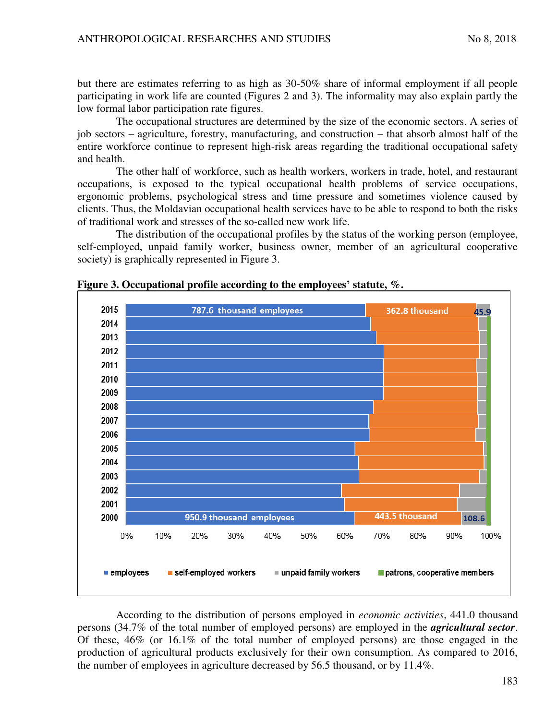but there are estimates referring to as high as 30-50% share of informal employment if all people participating in work life are counted (Figures 2 and 3). The informality may also explain partly the low formal labor participation rate figures.

The occupational structures are determined by the size of the economic sectors. A series of job sectors – agriculture, forestry, manufacturing, and construction – that absorb almost half of the entire workforce continue to represent high-risk areas regarding the traditional occupational safety and health.

The other half of workforce, such as health workers, workers in trade, hotel, and restaurant occupations, is exposed to the typical occupational health problems of service occupations, ergonomic problems, psychological stress and time pressure and sometimes violence caused by clients. Thus, the Moldavian occupational health services have to be able to respond to both the risks of traditional work and stresses of the so-called new work life.

The distribution of the occupational profiles by the status of the working person (employee, self-employed, unpaid family worker, business owner, member of an agricultural cooperative society) is graphically represented in Figure 3.



**Figure 3. Occupational profile according to the employees' statute, %.** 

According to the distribution of persons employed in *economic activities*, 441.0 thousand persons (34.7% of the total number of employed persons) are employed in the *agricultural sector*. Of these, 46% (or 16.1% of the total number of employed persons) are those engaged in the production of agricultural products exclusively for their own consumption. As compared to 2016, the number of employees in agriculture decreased by 56.5 thousand, or by 11.4%.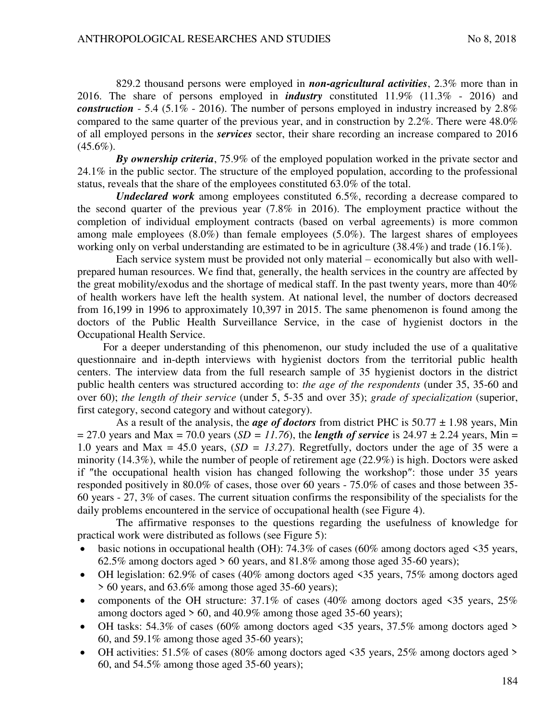829.2 thousand persons were employed in *non-agricultural activities*, 2.3% more than in 2016. The share of persons employed in *industry* constituted 11.9% (11.3% - 2016) and *construction* - 5.4 (5.1% - 2016). The number of persons employed in industry increased by 2.8% compared to the same quarter of the previous year, and in construction by 2.2%. There were 48.0% of all employed persons in the *services* sector, their share recording an increase compared to 2016  $(45.6\%)$ .

*By ownership criteria*, 75.9% of the employed population worked in the private sector and 24.1% in the public sector. The structure of the employed population, according to the professional status, reveals that the share of the employees constituted 63.0% of the total.

*Undeclared work* among employees constituted 6.5%, recording a decrease compared to the second quarter of the previous year (7.8% in 2016). The employment practice without the completion of individual employment contracts (based on verbal agreements) is more common among male employees (8.0%) than female employees (5.0%). The largest shares of employees working only on verbal understanding are estimated to be in agriculture (38.4%) and trade (16.1%).

Each service system must be provided not only material – economically but also with wellprepared human resources. We find that, generally, the health services in the country are affected by the great mobility/exodus and the shortage of medical staff. In the past twenty years, more than 40% of health workers have left the health system. At national level, the number of doctors decreased from 16,199 in 1996 to approximately 10,397 in 2015. The same phenomenon is found among the doctors of the Public Health Surveillance Service, in the case of hygienist doctors in the Occupational Health Service.

For a deeper understanding of this phenomenon, our study included the use of a qualitative questionnaire and in-depth interviews with hygienist doctors from the territorial public health centers. The interview data from the full research sample of 35 hygienist doctors in the district public health centers was structured according to: *the age of the respondents* (under 35, 35-60 and over 60); *the length of their service* (under 5, 5-35 and over 35); *grade of specialization* (superior, first category, second category and without category).

As a result of the analysis, the *age of doctors* from district PHC is 50.77 ± 1.98 years, Min  $= 27.0$  years and Max = 70.0 years (*SD = 11.76*), the *length of service* is 24.97  $\pm$  2.24 years, Min = 1.0 years and Max = 45.0 years, (*SD = 13.27*). Regretfully, doctors under the age of 35 were a minority (14.3%), while the number of people of retirement age (22.9%) is high. Doctors were asked if ″the occupational health vision has changed following the workshop″: those under 35 years responded positively in 80.0% of cases, those over 60 years - 75.0% of cases and those between 35- 60 years - 27, 3% of cases. The current situation confirms the responsibility of the specialists for the daily problems encountered in the service of occupational health (see Figure 4).

The affirmative responses to the questions regarding the usefulness of knowledge for practical work were distributed as follows (see Figure 5):

- basic notions in occupational health (OH): 74.3% of cases (60% among doctors aged <35 years, 62.5% among doctors aged  $> 60$  years, and 81.8% among those aged 35-60 years);
- OH legislation: 62.9% of cases (40% among doctors aged <35 years, 75% among doctors aged > 60 years, and 63.6% among those aged 35-60 years);
- components of the OH structure:  $37.1\%$  of cases (40% among doctors aged  $\leq 35$  years,  $25\%$ among doctors aged > 60, and 40.9% among those aged 35-60 years);
- OH tasks: 54.3% of cases (60% among doctors aged  $\leq$ 35 years, 37.5% among doctors aged  $>$ 60, and 59.1% among those aged 35-60 years);
- OH activities:  $51.5\%$  of cases (80% among doctors aged <35 years, 25% among doctors aged > 60, and 54.5% among those aged 35-60 years);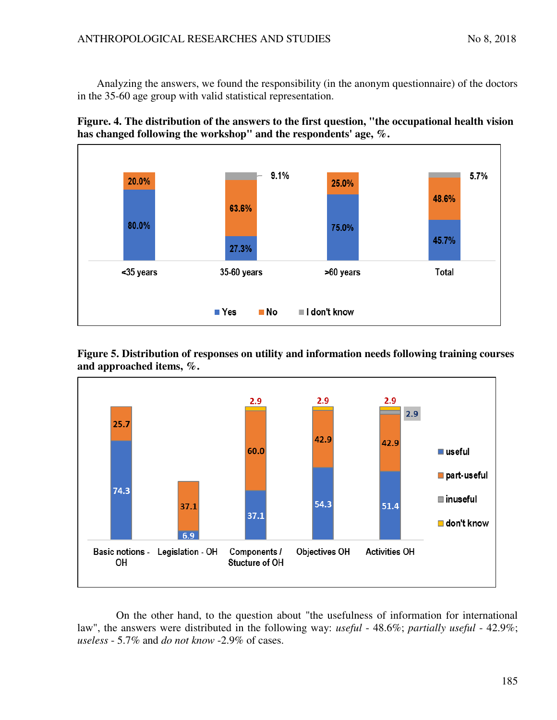Analyzing the answers, we found the responsibility (in the anonym questionnaire) of the doctors in the 35-60 age group with valid statistical representation.





**Figure 5. Distribution of responses on utility and information needs following training courses and approached items, %.** 



On the other hand, to the question about "the usefulness of information for international law", the answers were distributed in the following way: *useful* - 48.6%; *partially useful* - 42.9%; *useless* - 5.7% and *do not know* -2.9% of cases.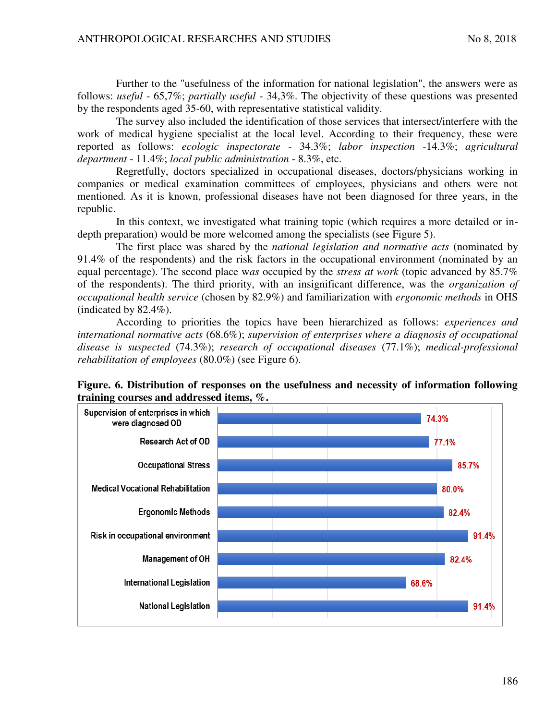Further to the "usefulness of the information for national legislation", the answers were as follows: *useful* - 65,7%; *partially useful* - 34,3%. The objectivity of these questions was presented by the respondents aged 35-60, with representative statistical validity.

The survey also included the identification of those services that intersect/interfere with the work of medical hygiene specialist at the local level. According to their frequency, these were reported as follows: *ecologic inspectorate* - 34.3%; *labor inspection* -14.3%; *agricultural department* - 11.4%; *local public administration* - 8.3%, etc.

Regretfully, doctors specialized in occupational diseases, doctors/physicians working in companies or medical examination committees of employees, physicians and others were not mentioned. As it is known, professional diseases have not been diagnosed for three years, in the republic.

In this context, we investigated what training topic (which requires a more detailed or indepth preparation) would be more welcomed among the specialists (see Figure 5).

The first place was shared by the *national legislation and normative acts* (nominated by 91.4% of the respondents) and the risk factors in the occupational environment (nominated by an equal percentage). The second place w*as* occupied by the *stress at work* (topic advanced by 85.7% of the respondents). The third priority, with an insignificant difference, was the *organization of occupational health service* (chosen by 82.9%) and familiarization with *ergonomic methods* in OHS (indicated by 82.4%).

According to priorities the topics have been hierarchized as follows: *experiences and international normative acts* (68.6%); *supervision of enterprises where a diagnosis of occupational disease is suspected* (74.3%); *research of occupational diseases* (77.1%); *medical-professional rehabilitation of employees* (80.0%) (see Figure 6).



**Figure. 6. Distribution of responses on the usefulness and necessity of information following training courses and addressed items, %.**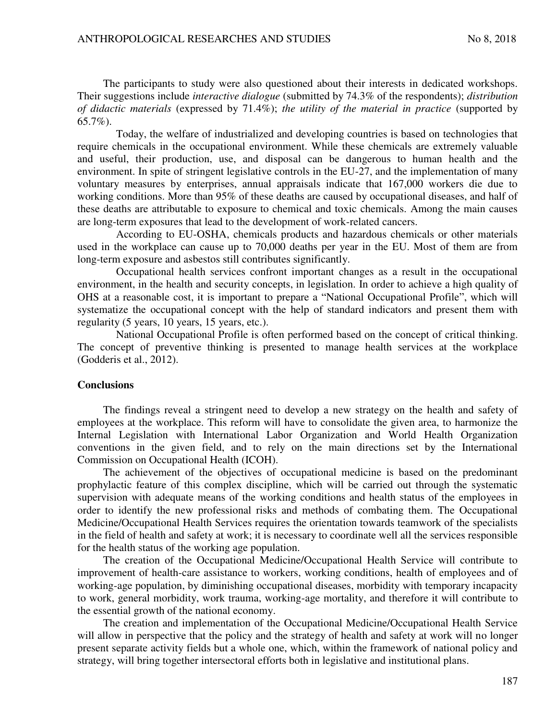The participants to study were also questioned about their interests in dedicated workshops. Their suggestions include *interactive dialogue* (submitted by 74.3% of the respondents); *distribution of didactic materials* (expressed by 71.4%); *the utility of the material in practice* (supported by 65.7%).

Today, the welfare of industrialized and developing countries is based on technologies that require chemicals in the occupational environment. While these chemicals are extremely valuable and useful, their production, use, and disposal can be dangerous to human health and the environment. In spite of stringent legislative controls in the EU-27, and the implementation of many voluntary measures by enterprises, annual appraisals indicate that 167,000 workers die due to working conditions. More than 95% of these deaths are caused by occupational diseases, and half of these deaths are attributable to exposure to chemical and toxic chemicals. Among the main causes are long-term exposures that lead to the development of work-related cancers.

According to EU-OSHA, chemicals products and hazardous chemicals or other materials used in the workplace can cause up to 70,000 deaths per year in the EU. Most of them are from long-term exposure and asbestos still contributes significantly.

Occupational health services confront important changes as a result in the occupational environment, in the health and security concepts, in legislation. In order to achieve a high quality of OHS at a reasonable cost, it is important to prepare a "National Occupational Profile", which will systematize the occupational concept with the help of standard indicators and present them with regularity (5 years, 10 years, 15 years, etc.).

National Occupational Profile is often performed based on the concept of critical thinking. The concept of preventive thinking is presented to manage health services at the workplace (Godderis et al., 2012).

## **Conclusions**

The findings reveal a stringent need to develop a new strategy on the health and safety of employees at the workplace. This reform will have to consolidate the given area, to harmonize the Internal Legislation with International Labor Organization and World Health Organization conventions in the given field, and to rely on the main directions set by the International Commission on Occupational Health (ICOH).

The achievement of the objectives of occupational medicine is based on the predominant prophylactic feature of this complex discipline, which will be carried out through the systematic supervision with adequate means of the working conditions and health status of the employees in order to identify the new professional risks and methods of combating them. The Occupational Medicine/Occupational Health Services requires the orientation towards teamwork of the specialists in the field of health and safety at work; it is necessary to coordinate well all the services responsible for the health status of the working age population.

The creation of the Occupational Medicine/Occupational Health Service will contribute to improvement of health-care assistance to workers, working conditions, health of employees and of working-age population, by diminishing occupational diseases, morbidity with temporary incapacity to work, general morbidity, work trauma, working-age mortality, and therefore it will contribute to the essential growth of the national economy.

The creation and implementation of the Occupational Medicine/Occupational Health Service will allow in perspective that the policy and the strategy of health and safety at work will no longer present separate activity fields but a whole one, which, within the framework of national policy and strategy, will bring together intersectoral efforts both in legislative and institutional plans.